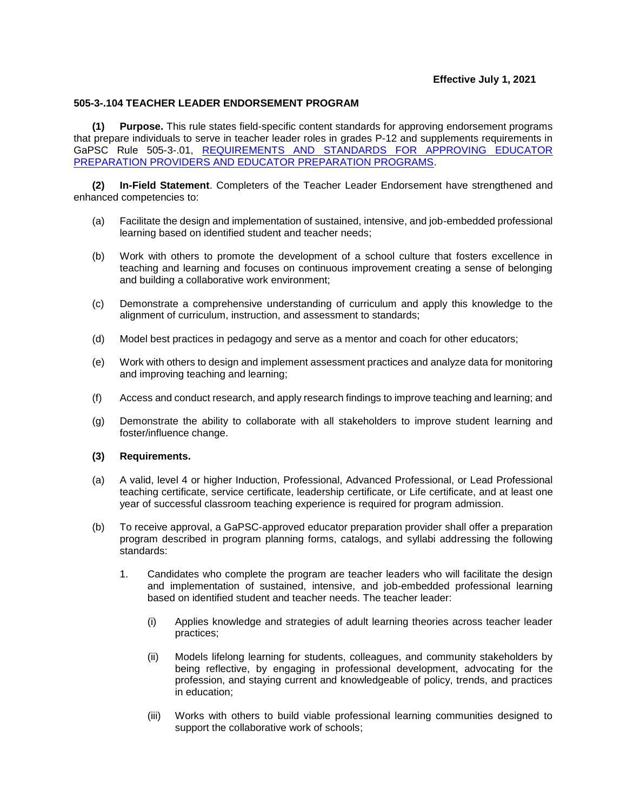## **505-3-.104 TEACHER LEADER ENDORSEMENT PROGRAM**

**(1) Purpose.** This rule states field-specific content standards for approving endorsement programs that prepare individuals to serve in teacher leader roles in grades P-12 and supplements requirements in GaPSC Rule 505-3-.01, [REQUIREMENTS AND STANDARDS FOR APPROVING EDUCATOR](https://www.gapsc.com/Rules/Current/EducatorPreparation/505-3-.01.pdf?dt=%3C%25#Eval()  [PREPARATION PROVIDERS AND EDUCATOR PREPARATION PROGRAMS.](https://www.gapsc.com/Rules/Current/EducatorPreparation/505-3-.01.pdf?dt=%3C%25#Eval()

**(2) In-Field Statement**. Completers of the Teacher Leader Endorsement have strengthened and enhanced competencies to:

- (a) Facilitate the design and implementation of sustained, intensive, and job-embedded professional learning based on identified student and teacher needs;
- (b) Work with others to promote the development of a school culture that fosters excellence in teaching and learning and focuses on continuous improvement creating a sense of belonging and building a collaborative work environment;
- (c) Demonstrate a comprehensive understanding of curriculum and apply this knowledge to the alignment of curriculum, instruction, and assessment to standards;
- (d) Model best practices in pedagogy and serve as a mentor and coach for other educators;
- (e) Work with others to design and implement assessment practices and analyze data for monitoring and improving teaching and learning;
- (f) Access and conduct research, and apply research findings to improve teaching and learning; and
- (g) Demonstrate the ability to collaborate with all stakeholders to improve student learning and foster/influence change.

## **(3) Requirements.**

- (a) A valid, level 4 or higher Induction, Professional, Advanced Professional, or Lead Professional teaching certificate, service certificate, leadership certificate, or Life certificate, and at least one year of successful classroom teaching experience is required for program admission.
- (b) To receive approval, a GaPSC-approved educator preparation provider shall offer a preparation program described in program planning forms, catalogs, and syllabi addressing the following standards:
	- 1. Candidates who complete the program are teacher leaders who will facilitate the design and implementation of sustained, intensive, and job-embedded professional learning based on identified student and teacher needs. The teacher leader:
		- (i) Applies knowledge and strategies of adult learning theories across teacher leader practices;
		- (ii) Models lifelong learning for students, colleagues, and community stakeholders by being reflective, by engaging in professional development, advocating for the profession, and staying current and knowledgeable of policy, trends, and practices in education;
		- (iii) Works with others to build viable professional learning communities designed to support the collaborative work of schools;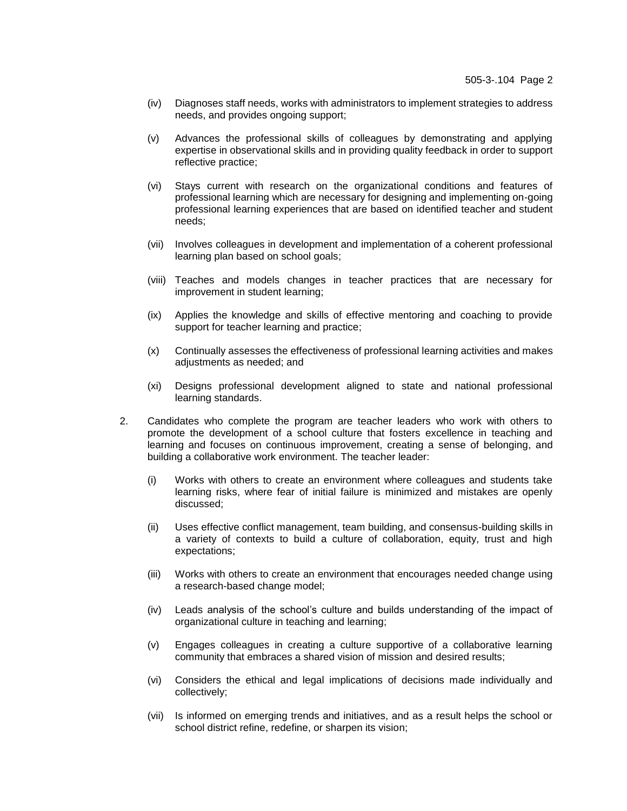- (iv) Diagnoses staff needs, works with administrators to implement strategies to address needs, and provides ongoing support;
- (v) Advances the professional skills of colleagues by demonstrating and applying expertise in observational skills and in providing quality feedback in order to support reflective practice;
- (vi) Stays current with research on the organizational conditions and features of professional learning which are necessary for designing and implementing on-going professional learning experiences that are based on identified teacher and student needs;
- (vii) Involves colleagues in development and implementation of a coherent professional learning plan based on school goals;
- (viii) Teaches and models changes in teacher practices that are necessary for improvement in student learning;
- (ix) Applies the knowledge and skills of effective mentoring and coaching to provide support for teacher learning and practice;
- (x) Continually assesses the effectiveness of professional learning activities and makes adjustments as needed; and
- (xi) Designs professional development aligned to state and national professional learning standards.
- 2. Candidates who complete the program are teacher leaders who work with others to promote the development of a school culture that fosters excellence in teaching and learning and focuses on continuous improvement, creating a sense of belonging, and building a collaborative work environment. The teacher leader:
	- (i) Works with others to create an environment where colleagues and students take learning risks, where fear of initial failure is minimized and mistakes are openly discussed;
	- (ii) Uses effective conflict management, team building, and consensus-building skills in a variety of contexts to build a culture of collaboration, equity, trust and high expectations;
	- (iii) Works with others to create an environment that encourages needed change using a research-based change model;
	- (iv) Leads analysis of the school's culture and builds understanding of the impact of organizational culture in teaching and learning;
	- (v) Engages colleagues in creating a culture supportive of a collaborative learning community that embraces a shared vision of mission and desired results;
	- (vi) Considers the ethical and legal implications of decisions made individually and collectively;
	- (vii) Is informed on emerging trends and initiatives, and as a result helps the school or school district refine, redefine, or sharpen its vision;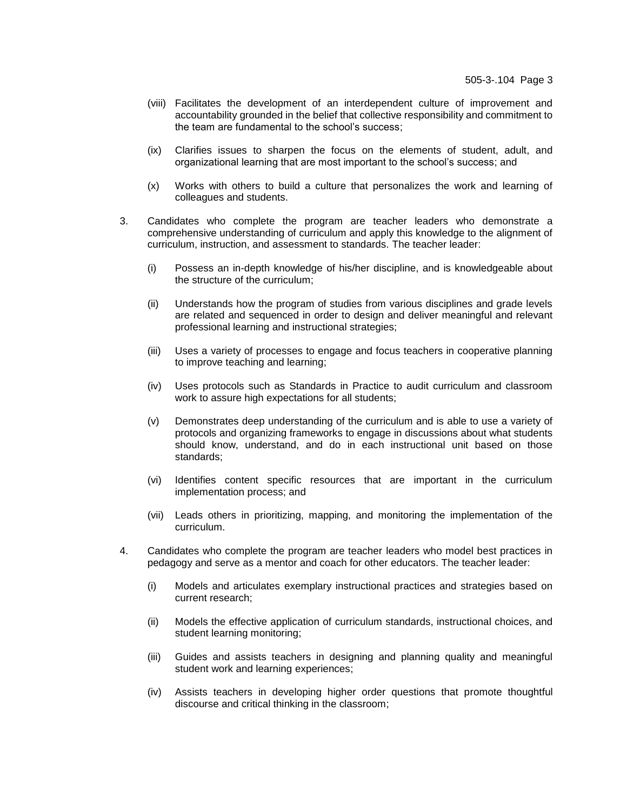- (viii) Facilitates the development of an interdependent culture of improvement and accountability grounded in the belief that collective responsibility and commitment to the team are fundamental to the school's success;
- (ix) Clarifies issues to sharpen the focus on the elements of student, adult, and organizational learning that are most important to the school's success; and
- (x) Works with others to build a culture that personalizes the work and learning of colleagues and students.
- 3. Candidates who complete the program are teacher leaders who demonstrate a comprehensive understanding of curriculum and apply this knowledge to the alignment of curriculum, instruction, and assessment to standards. The teacher leader:
	- (i) Possess an in-depth knowledge of his/her discipline, and is knowledgeable about the structure of the curriculum;
	- (ii) Understands how the program of studies from various disciplines and grade levels are related and sequenced in order to design and deliver meaningful and relevant professional learning and instructional strategies;
	- (iii) Uses a variety of processes to engage and focus teachers in cooperative planning to improve teaching and learning;
	- (iv) Uses protocols such as Standards in Practice to audit curriculum and classroom work to assure high expectations for all students;
	- (v) Demonstrates deep understanding of the curriculum and is able to use a variety of protocols and organizing frameworks to engage in discussions about what students should know, understand, and do in each instructional unit based on those standards;
	- (vi) Identifies content specific resources that are important in the curriculum implementation process; and
	- (vii) Leads others in prioritizing, mapping, and monitoring the implementation of the curriculum.
- 4. Candidates who complete the program are teacher leaders who model best practices in pedagogy and serve as a mentor and coach for other educators. The teacher leader:
	- (i) Models and articulates exemplary instructional practices and strategies based on current research;
	- (ii) Models the effective application of curriculum standards, instructional choices, and student learning monitoring;
	- (iii) Guides and assists teachers in designing and planning quality and meaningful student work and learning experiences;
	- (iv) Assists teachers in developing higher order questions that promote thoughtful discourse and critical thinking in the classroom;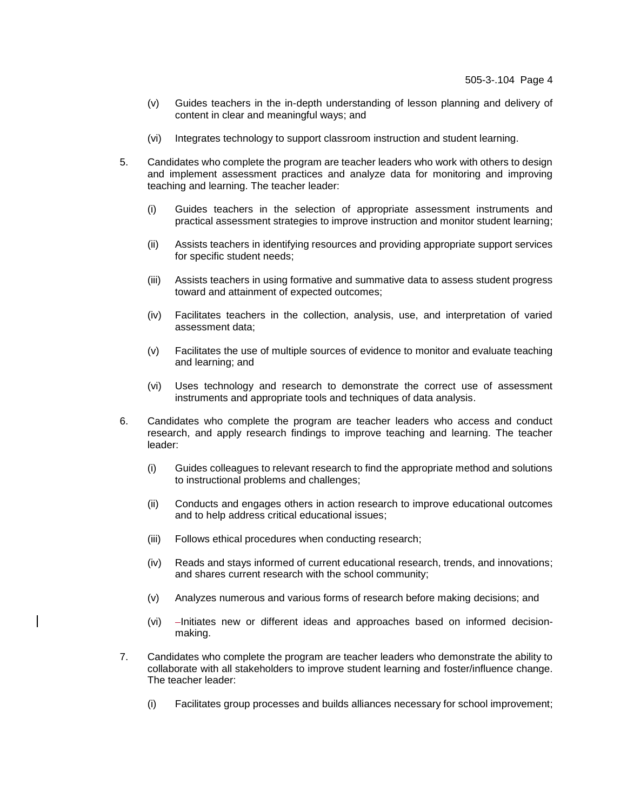- (v) Guides teachers in the in-depth understanding of lesson planning and delivery of content in clear and meaningful ways; and
- (vi) Integrates technology to support classroom instruction and student learning.
- 5. Candidates who complete the program are teacher leaders who work with others to design and implement assessment practices and analyze data for monitoring and improving teaching and learning. The teacher leader:
	- (i) Guides teachers in the selection of appropriate assessment instruments and practical assessment strategies to improve instruction and monitor student learning;
	- (ii) Assists teachers in identifying resources and providing appropriate support services for specific student needs;
	- (iii) Assists teachers in using formative and summative data to assess student progress toward and attainment of expected outcomes;
	- (iv) Facilitates teachers in the collection, analysis, use, and interpretation of varied assessment data;
	- (v) Facilitates the use of multiple sources of evidence to monitor and evaluate teaching and learning; and
	- (vi) Uses technology and research to demonstrate the correct use of assessment instruments and appropriate tools and techniques of data analysis.
- 6. Candidates who complete the program are teacher leaders who access and conduct research, and apply research findings to improve teaching and learning. The teacher leader:
	- (i) Guides colleagues to relevant research to find the appropriate method and solutions to instructional problems and challenges;
	- (ii) Conducts and engages others in action research to improve educational outcomes and to help address critical educational issues;
	- (iii) Follows ethical procedures when conducting research;
	- (iv) Reads and stays informed of current educational research, trends, and innovations; and shares current research with the school community;
	- (v) Analyzes numerous and various forms of research before making decisions; and
	- $(vi)$  -Initiates new or different ideas and approaches based on informed decisionmaking.
- 7. Candidates who complete the program are teacher leaders who demonstrate the ability to collaborate with all stakeholders to improve student learning and foster/influence change. The teacher leader:
	- (i) Facilitates group processes and builds alliances necessary for school improvement;